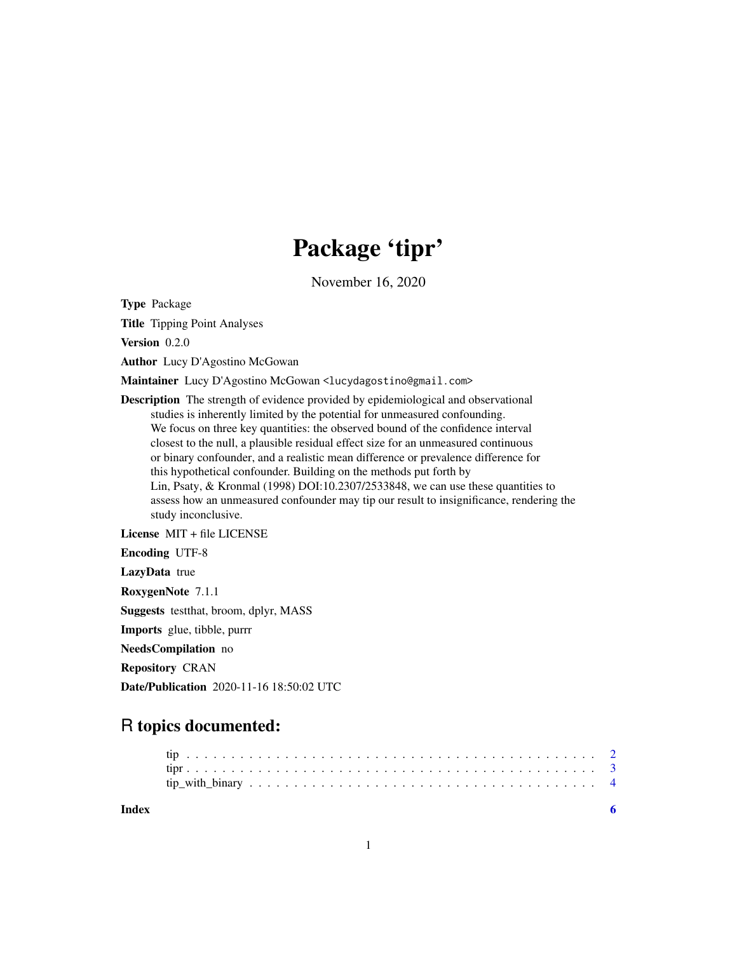## Package 'tipr'

November 16, 2020

Type Package

Title Tipping Point Analyses

Version 0.2.0

Author Lucy D'Agostino McGowan

Maintainer Lucy D'Agostino McGowan <lucydagostino@gmail.com>

Description The strength of evidence provided by epidemiological and observational studies is inherently limited by the potential for unmeasured confounding. We focus on three key quantities: the observed bound of the confidence interval closest to the null, a plausible residual effect size for an unmeasured continuous or binary confounder, and a realistic mean difference or prevalence difference for this hypothetical confounder. Building on the methods put forth by Lin, Psaty, & Kronmal (1998) DOI:10.2307/2533848, we can use these quantities to assess how an unmeasured confounder may tip our result to insignificance, rendering the study inconclusive.

License MIT + file LICENSE

Encoding UTF-8

LazyData true

RoxygenNote 7.1.1

Suggests testthat, broom, dplyr, MASS

Imports glue, tibble, purrr

NeedsCompilation no

Repository CRAN

Date/Publication 2020-11-16 18:50:02 UTC

### R topics documented:

| Index |  |  |  |
|-------|--|--|--|
|       |  |  |  |
|       |  |  |  |
|       |  |  |  |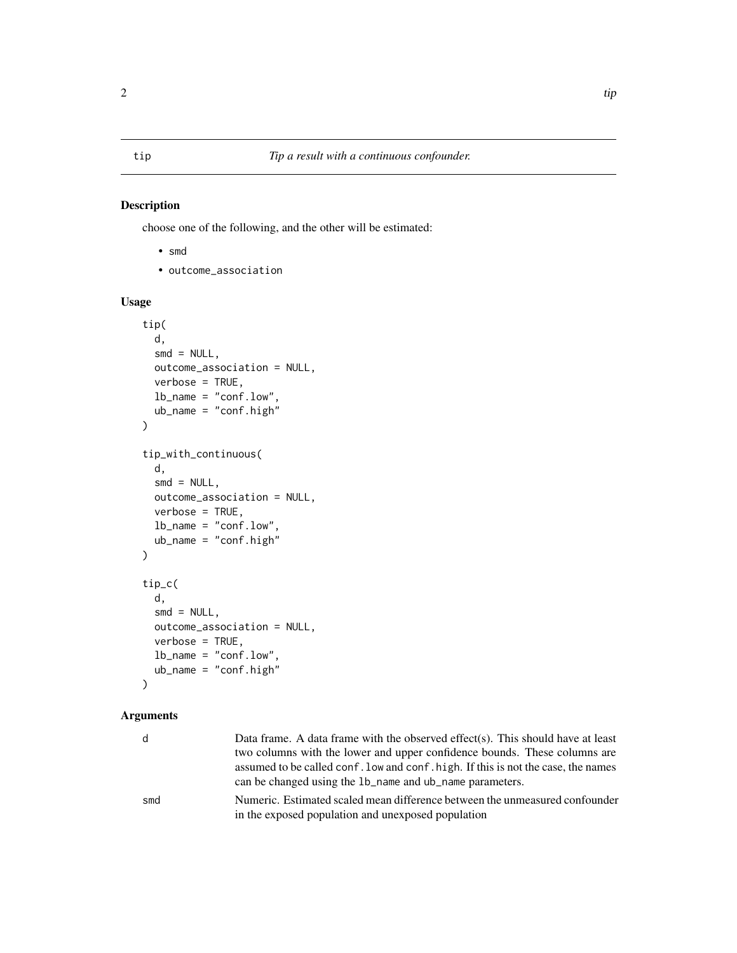#### <span id="page-1-0"></span>Description

choose one of the following, and the other will be estimated:

- smd
- outcome\_association

#### Usage

```
tip(
  d,
  smd = NULL,outcome_association = NULL,
  verbose = TRUE,
  lb_name = "conf.low",
  ub_name = "conf.high"
\overline{)}tip_with_continuous(
  d,
  smd = NULL,outcome_association = NULL,
  verbose = TRUE,
  lb_name = "conf.low",
  ub_name = "conf.high"
\mathcal{L}tip_c(
  d,
  smd = NULL,outcome_association = NULL,
  verbose = TRUE,
  lb_name = "conf.low",
  ub_name = "conf.high"
\mathcal{L}
```
#### Arguments

| d   | Data frame. A data frame with the observed effect(s). This should have at least<br>two columns with the lower and upper confidence bounds. These columns are<br>assumed to be called conf. low and conf. high. If this is not the case, the names<br>can be changed using the 1b_name and ub_name parameters. |
|-----|---------------------------------------------------------------------------------------------------------------------------------------------------------------------------------------------------------------------------------------------------------------------------------------------------------------|
| smd | Numeric. Estimated scaled mean difference between the unmeasured confounder<br>in the exposed population and unexposed population                                                                                                                                                                             |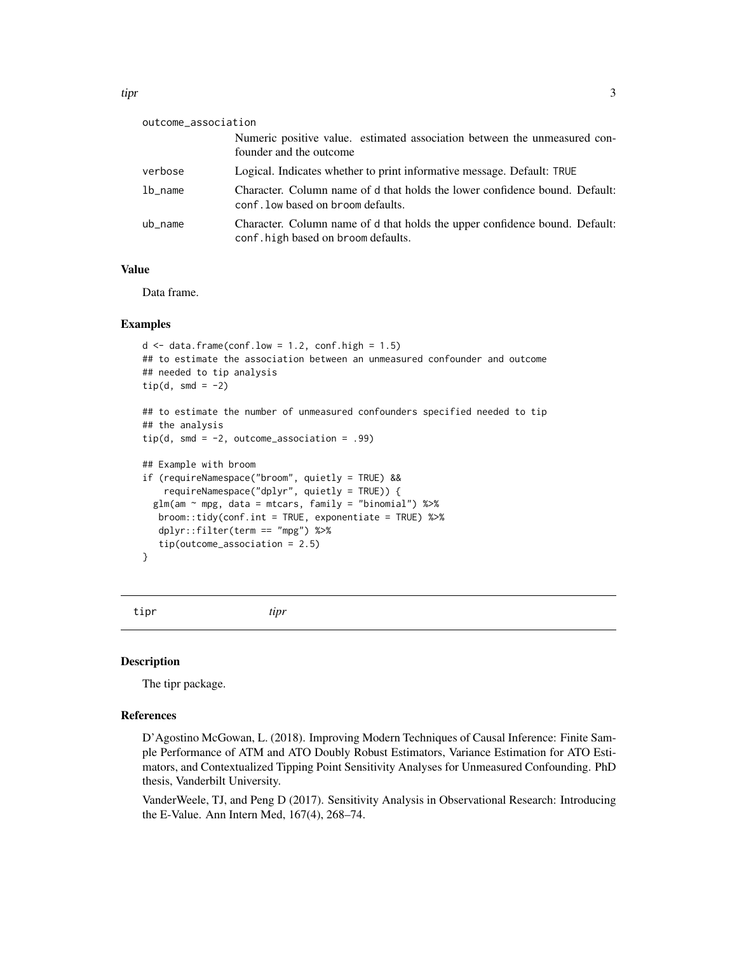<span id="page-2-0"></span>

| outcome_association |                                                                                                                   |
|---------------------|-------------------------------------------------------------------------------------------------------------------|
|                     | Numeric positive value. estimated association between the unmeasured con-<br>founder and the outcome              |
| verbose             | Logical. Indicates whether to print informative message. Default: TRUE                                            |
| $1b_$ name          | Character. Column name of d that holds the lower confidence bound. Default:<br>conf. low based on broom defaults. |
| ub name             | Character. Column name of d that holds the upper confidence bound. Default:<br>conf.high based on broom defaults. |

#### Value

Data frame.

#### Examples

```
d \leq - data.frame(conf.low = 1.2, conf.high = 1.5)
## to estimate the association between an unmeasured confounder and outcome
## needed to tip analysis
tip(d, smd = -2)## to estimate the number of unmeasured confounders specified needed to tip
## the analysis
tip(d, smd = -2, outcome_association = .99)
## Example with broom
if (requireNamespace("broom", quietly = TRUE) &&
    requireNamespace("dplyr", quietly = TRUE)) {
 glm(am \sim mpg, data = mtcars, family = "binomial") %>%
  broom::tidy(conf.int = TRUE, exponentiate = TRUE) %>%
  dplyr::filter(term == "mpg") %>%
   tip(outcome_association = 2.5)
}
```
tipr *tipr*

#### Description

The tipr package.

#### References

D'Agostino McGowan, L. (2018). Improving Modern Techniques of Causal Inference: Finite Sample Performance of ATM and ATO Doubly Robust Estimators, Variance Estimation for ATO Estimators, and Contextualized Tipping Point Sensitivity Analyses for Unmeasured Confounding. PhD thesis, Vanderbilt University.

VanderWeele, TJ, and Peng D (2017). Sensitivity Analysis in Observational Research: Introducing the E-Value. Ann Intern Med, 167(4), 268–74.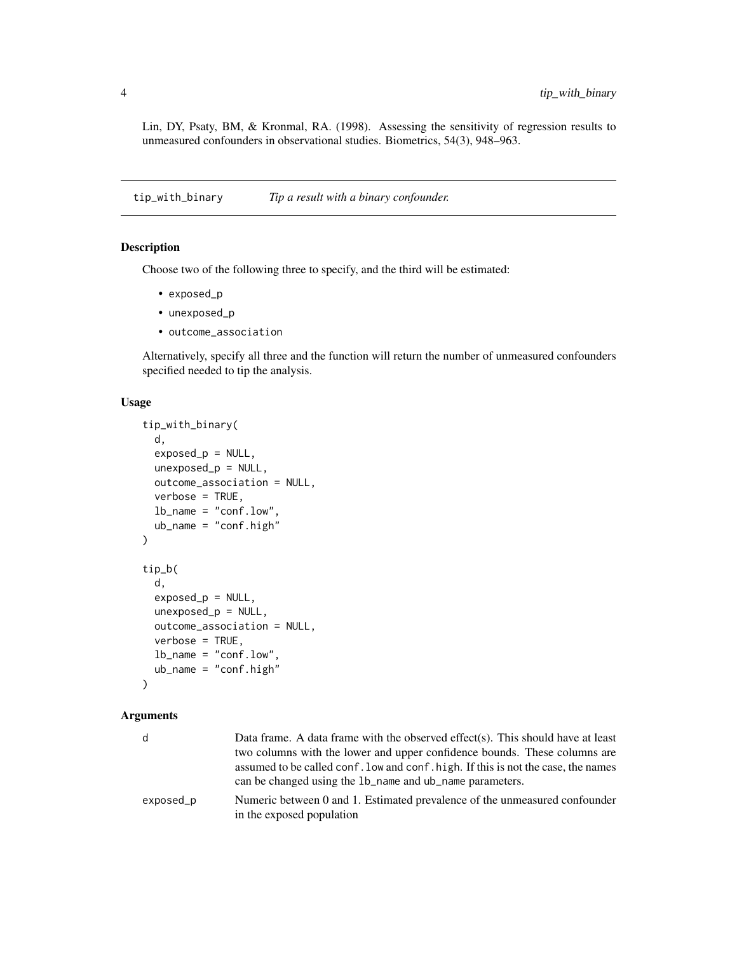<span id="page-3-0"></span>Lin, DY, Psaty, BM, & Kronmal, RA. (1998). Assessing the sensitivity of regression results to unmeasured confounders in observational studies. Biometrics, 54(3), 948–963.

<span id="page-3-2"></span>tip\_with\_binary *Tip a result with a binary confounder.*

#### <span id="page-3-1"></span>Description

Choose two of the following three to specify, and the third will be estimated:

- exposed\_p
- unexposed\_p
- outcome\_association

Alternatively, specify all three and the function will return the number of unmeasured confounders specified needed to tip the analysis.

#### Usage

```
tip_with_binary(
 d,
  exposed_p = NULL,
 unexposed_p = NULL,
 outcome_association = NULL,
  verbose = TRUE,
 lb_name = "conf.lower,
 ub_name = "conf.high"
\lambdatip_b(
 d,
  exposed_p = NULL,
 unexposed_p = NULL,
 outcome_association = NULL,
  verbose = TRUE,
 lb_name = "conf.low",
 ub_name = "conf.high"
)
```
#### Arguments

| d         | Data frame. A data frame with the observed effect(s). This should have at least<br>two columns with the lower and upper confidence bounds. These columns are<br>assumed to be called conf. low and conf. high. If this is not the case, the names<br>can be changed using the 1b_name and ub_name parameters. |
|-----------|---------------------------------------------------------------------------------------------------------------------------------------------------------------------------------------------------------------------------------------------------------------------------------------------------------------|
| exposed_p | Numeric between 0 and 1. Estimated prevalence of the unmeasured confounder<br>in the exposed population                                                                                                                                                                                                       |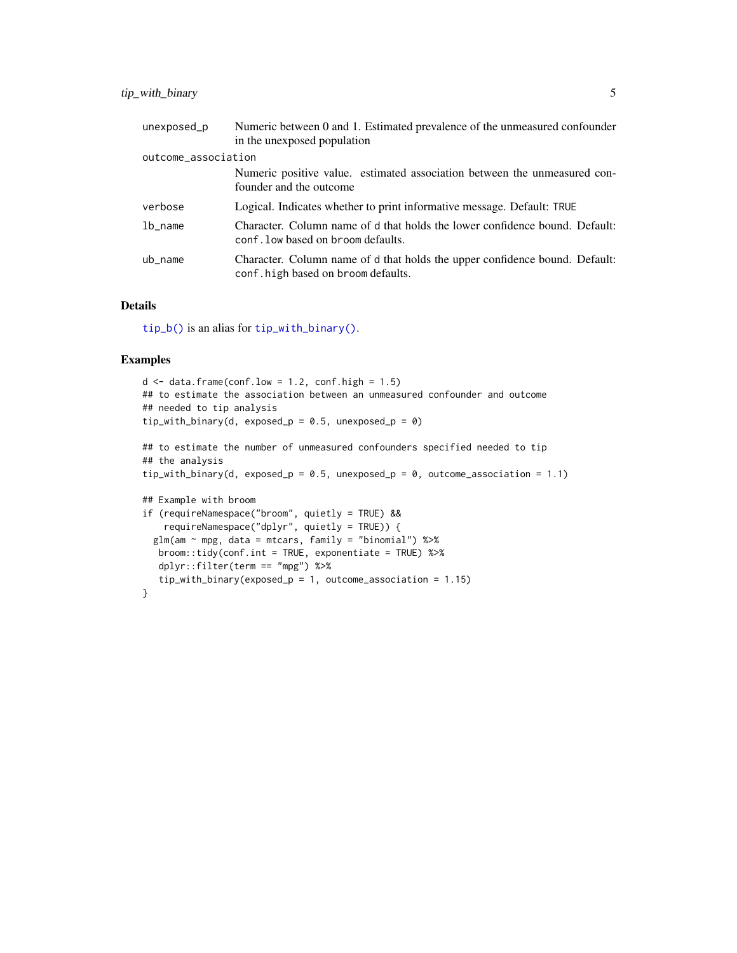<span id="page-4-0"></span>

| unexposed_p         | Numeric between 0 and 1. Estimated prevalence of the unmeasured confounder<br>in the unexposed population         |  |  |
|---------------------|-------------------------------------------------------------------------------------------------------------------|--|--|
| outcome_association |                                                                                                                   |  |  |
|                     | Numeric positive value. estimated association between the unmeasured con-<br>founder and the outcome              |  |  |
| verbose             | Logical. Indicates whether to print informative message. Default: TRUE                                            |  |  |
| $1b_$ name          | Character. Column name of d that holds the lower confidence bound. Default:<br>conf. low based on broom defaults. |  |  |
| ub_name             | Character. Column name of d that holds the upper confidence bound. Default:<br>conf.high based on broom defaults. |  |  |

#### Details

[tip\\_b\(\)](#page-3-1) is an alias for [tip\\_with\\_binary\(\)](#page-3-2).

#### Examples

```
d \leq data.frame(conf.low = 1.2, conf.high = 1.5)
## to estimate the association between an unmeasured confounder and outcome
## needed to tip analysis
tip_with_binary(d, exposed_p = 0.5, unexposed_p = 0)
## to estimate the number of unmeasured confounders specified needed to tip
## the analysis
tip_with_binary(d, exposed_p = 0.5, unexposed_p = 0, outcome_association = 1.1)
## Example with broom
if (requireNamespace("broom", quietly = TRUE) &&
    requireNamespace("dplyr", quietly = TRUE)) {
  glm(am \sim mpg, data = mtcars, family = "binomial") %>%
  broom::tidy(conf.int = TRUE, exponentiate = TRUE) %>%
   dplyr::filter(term == "mpg") %>%
   tip_with_binary(exposed_p = 1, outcome_association = 1.15)
}
```